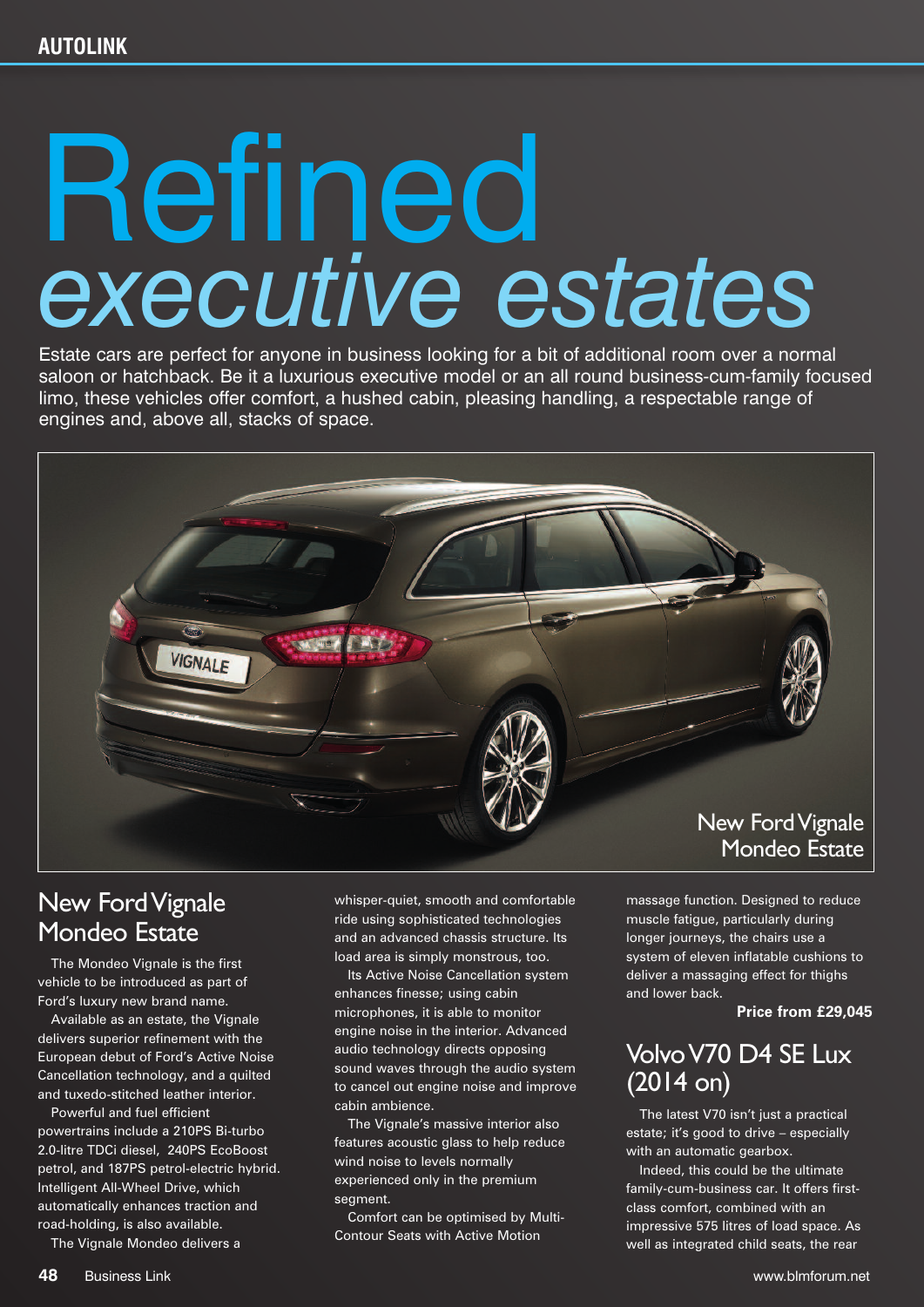# Refined *executive estates*

Estate cars are perfect for anyone in business looking for a bit of additional room over a normal saloon or hatchback. Be it a luxurious executive model or an all round business-cum-family focused limo, these vehicles offer comfort, a hushed cabin, pleasing handling, a respectable range of engines and, above all, stacks of space.



## New FordVignale Mondeo Estate

The Mondeo Vignale is the first vehicle to be introduced as part of Ford's luxury new brand name.

Available as an estate, the Vignale delivers superior refinement with the European debut of Ford's Active Noise Cancellation technology, and a quilted and tuxedo-stitched leather interior.

Powerful and fuel efficient powertrains include a 210PS Bi-turbo 2.0-litre TDCi diesel, 240PS EcoBoost petrol, and 187PS petrol-electric hybrid. Intelligent All-Wheel Drive, which automatically enhances traction and road-holding, is also available.

The Vignale Mondeo delivers a

whisper-quiet, smooth and comfortable ride using sophisticated technologies and an advanced chassis structure. Its load area is simply monstrous, too.

Its Active Noise Cancellation system enhances finesse; using cabin microphones, it is able to monitor engine noise in the interior. Advanced audio technology directs opposing sound waves through the audio system to cancel out engine noise and improve cabin ambience.

The Vignale's massive interior also features acoustic glass to help reduce wind noise to levels normally experienced only in the premium segment.

Comfort can be optimised by Multi-Contour Seats with Active Motion

massage function. Designed to reduce muscle fatigue, particularly during longer journeys, the chairs use a system of eleven inflatable cushions to deliver a massaging effect for thighs and lower back.

#### **Price from £29,045**

## VolvoV70 D4 SE Lux (2014 on)

The latest V70 isn't just a practical estate; it's good to drive – especially with an automatic gearbox.

Indeed, this could be the ultimate family-cum-business car. It offers firstclass comfort, combined with an impressive 575 litres of load space. As well as integrated child seats, the rear